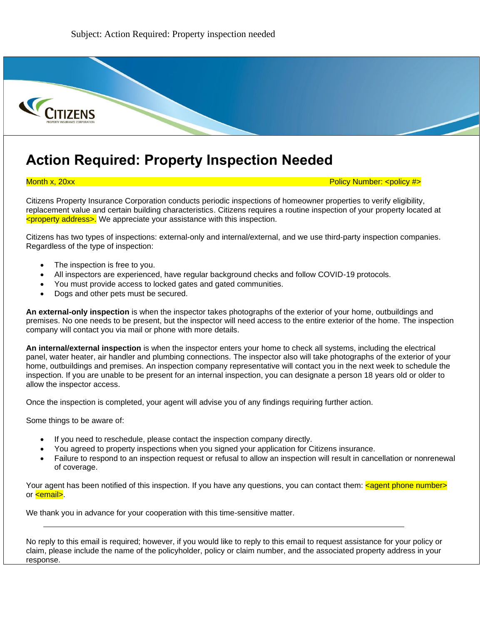

## **Action Required: Property Inspection Needed**

Month x, 20xx Policy Number: <policy #>

Citizens Property Insurance Corporation conducts periodic inspections of homeowner properties to verify eligibility, replacement value and certain building characteristics. Citizens requires a routine inspection of your property located at <property address>. We appreciate your assistance with this inspection.

Citizens has two types of inspections: external-only and internal/external, and we use third-party inspection companies. Regardless of the type of inspection:

- The inspection is free to you.
- All inspectors are experienced, have regular background checks and follow COVID-19 protocols.
- You must provide access to locked gates and gated communities.
- Dogs and other pets must be secured.

**An external-only inspection** is when the inspector takes photographs of the exterior of your home, outbuildings and premises. No one needs to be present, but the inspector will need access to the entire exterior of the home. The inspection company will contact you via mail or phone with more details.

**An internal/external inspection** is when the inspector enters your home to check all systems, including the electrical panel, water heater, air handler and plumbing connections. The inspector also will take photographs of the exterior of your home, outbuildings and premises. An inspection company representative will contact you in the next week to schedule the inspection. If you are unable to be present for an internal inspection, you can designate a person 18 years old or older to allow the inspector access.

Once the inspection is completed, your agent will advise you of any findings requiring further action.

Some things to be aware of:

- If you need to reschedule, please contact the inspection company directly.
- You agreed to property inspections when you signed your application for Citizens insurance.
- Failure to respond to an inspection request or refusal to allow an inspection will result in cancellation or nonrenewal of coverage.

Your agent has been notified of this inspection. If you have any questions, you can contact them: <agent phone number> or **cemail**.

We thank you in advance for your cooperation with this time-sensitive matter.

No reply to this email is required; however, if you would like to reply to this email to request assistance for your policy or claim, please include the name of the policyholder, policy or claim number, and the associated property address in your response.